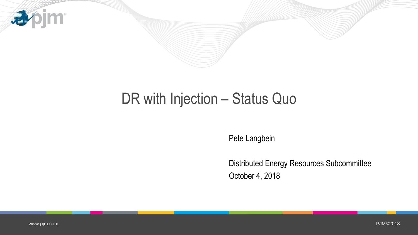

## DR with Injection - Status Quo

Pete Langbein

Distributed Energy Resources Subcommittee October 4, 2018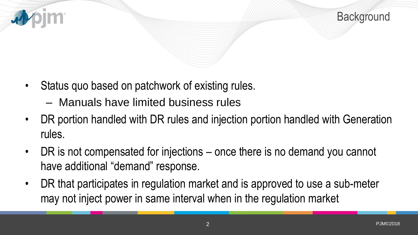



- Status quo based on patchwork of existing rules.
	- Manuals have limited business rules
- DR portion handled with DR rules and injection portion handled with Generation rules.
- DR is not compensated for injections once there is no demand you cannot have additional "demand" response.
- DR that participates in regulation market and is approved to use a sub-meter may not inject power in same interval when in the regulation market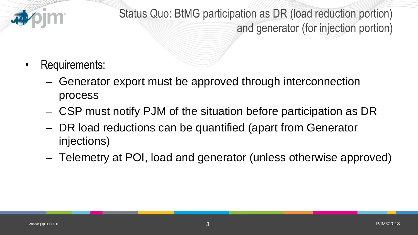

Status Quo: BtMG participation as DR (load reduction portion) and generator (for injection portion)

- Requirements:
	- Generator export must be approved through interconnection process
	- CSP must notify PJM of the situation before participation as DR
	- DR load reductions can be quantified (apart from Generator injections)
	- Telemetry at POI, load and generator (unless otherwise approved)